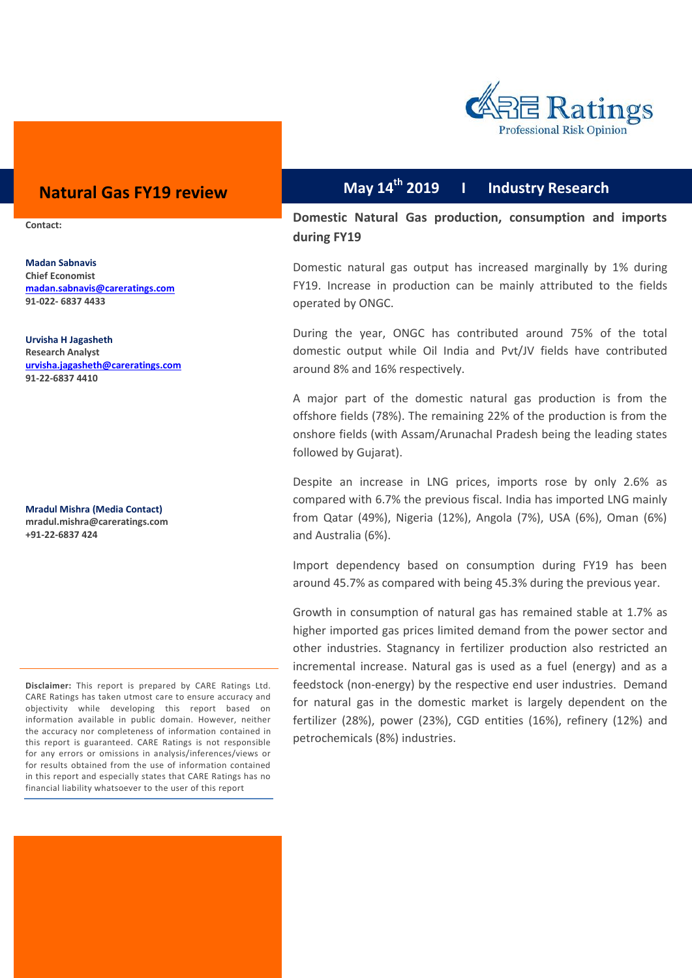

# **Natural Gas 2019 I Industry Research FY19 review**

**Contact:**

**Madan Sabnavis Chief Economist [madan.sabnavis@careratings.com](mailto:madan.sabnavis@careratings.com) 91-022- 6837 4433**

**Urvisha H Jagasheth Research Analyst [urvisha.jagasheth@careratings.com](mailto:urvisha.jagasheth@careratings.com) 91-22-6837 4410**

**Mradul Mishra (Media Contact) [mradul.mishra@careratings.com](mailto:mradul.mishra@careratings.com) +91-22-6837 424**

**May 14th**

**Domestic Natural Gas production, consumption and imports during FY19** 

Domestic natural gas output has increased marginally by 1% during FY19. Increase in production can be mainly attributed to the fields operated by ONGC.

During the year, ONGC has contributed around 75% of the total domestic output while Oil India and Pvt/JV fields have contributed around 8% and 16% respectively.

A major part of the domestic natural gas production is from the offshore fields (78%). The remaining 22% of the production is from the onshore fields (with Assam/Arunachal Pradesh being the leading states followed by Gujarat).

Despite an increase in LNG prices, imports rose by only 2.6% as compared with 6.7% the previous fiscal. India has imported LNG mainly from Qatar (49%), Nigeria (12%), Angola (7%), USA (6%), Oman (6%) and Australia (6%).

Import dependency based on consumption during FY19 has been around 45.7% as compared with being 45.3% during the previous year.

Growth in consumption of natural gas has remained stable at 1.7% as higher imported gas prices limited demand from the power sector and other industries. Stagnancy in fertilizer production also restricted an incremental increase. Natural gas is used as a fuel (energy) and as a feedstock (non-energy) by the respective end user industries. Demand for natural gas in the domestic market is largely dependent on the fertilizer (28%), power (23%), CGD entities (16%), refinery (12%) and petrochemicals (8%) industries.

**Disclaimer:** This report is prepared by CARE Ratings Ltd. CARE Ratings has taken utmost care to ensure accuracy and objectivity while developing this report based on information available in public domain. However, neither the accuracy nor completeness of information contained in this report is guaranteed. CARE Ratings is not responsible for any errors or omissions in analysis/inferences/views or for results obtained from the use of information contained in this report and especially states that CARE Ratings has no financial liability whatsoever to the user of this report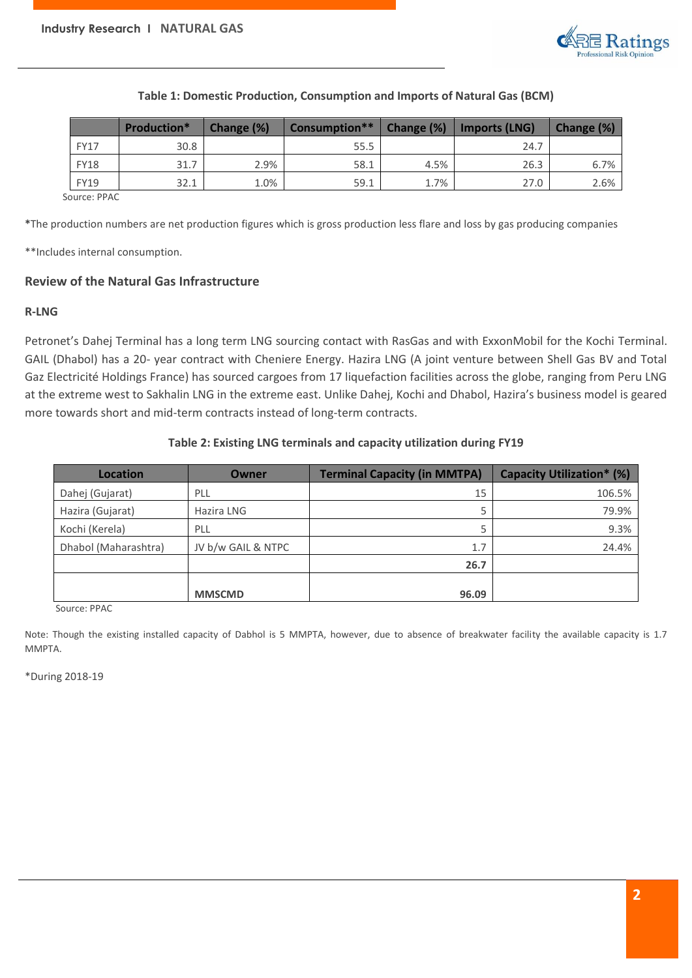

#### **Table 1: Domestic Production, Consumption and Imports of Natural Gas (BCM)**

|             | <b>Production*</b> | Change (%) | Consumption** | Change (%) | <b>Imports (LNG)</b> | Change (%) |
|-------------|--------------------|------------|---------------|------------|----------------------|------------|
| <b>FY17</b> | 30.8               |            | 55.5          |            | 24.7                 |            |
| <b>FY18</b> | 31.7               | 2.9%       | 58.1          | 4.5%       | 26.3                 | 6.7%       |
| <b>FY19</b> | 32.1               | 1.0%       | 59.1          | 1.7%       | 27.0                 | 2.6%       |

Source: PPAC

**\***The production numbers are net production figures which is gross production less flare and loss by gas producing companies

\*\*Includes internal consumption.

#### **Review of the Natural Gas Infrastructure**

#### **R-LNG**

Petronet's Dahej Terminal has a long term LNG sourcing contact with RasGas and with ExxonMobil for the Kochi Terminal. GAIL (Dhabol) has a 20- year contract with Cheniere Energy. Hazira LNG (A joint venture between Shell Gas BV and Total Gaz Electricité Holdings France) has sourced cargoes from 17 liquefaction facilities across the globe, ranging from Peru LNG at the extreme west to Sakhalin LNG in the extreme east. Unlike Dahej, Kochi and Dhabol, Hazira's business model is geared more towards short and mid-term contracts instead of long-term contracts.

#### **Table 2: Existing LNG terminals and capacity utilization during FY19**

| <b>Location</b>      | Owner              | <b>Terminal Capacity (in MMTPA)</b> | <b>Capacity Utilization* (%)</b> |
|----------------------|--------------------|-------------------------------------|----------------------------------|
| Dahej (Gujarat)      | PLL                | 15                                  | 106.5%                           |
| Hazira (Gujarat)     | Hazira LNG         | 5                                   | 79.9%                            |
| Kochi (Kerela)       | PLL                | 5                                   | 9.3%                             |
| Dhabol (Maharashtra) | JV b/w GAIL & NTPC | 1.7                                 | 24.4%                            |
|                      |                    | 26.7                                |                                  |
|                      |                    |                                     |                                  |
|                      | <b>MMSCMD</b>      | 96.09                               |                                  |

Source: PPAC

Note: Though the existing installed capacity of Dabhol is 5 MMPTA, however, due to absence of breakwater facility the available capacity is 1.7 MMPTA.

\*During 2018-19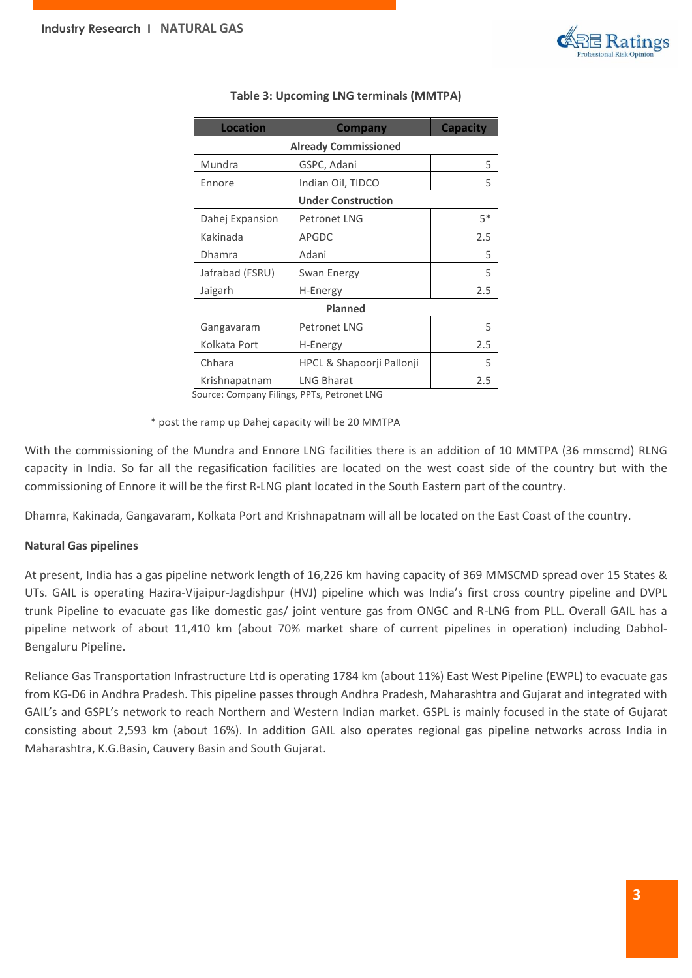

| <b>Location</b>                           | <b>Company</b>            | <b>Capacity</b> |  |
|-------------------------------------------|---------------------------|-----------------|--|
| <b>Already Commissioned</b>               |                           |                 |  |
| Mundra                                    | GSPC, Adani               | 5               |  |
| Ennore                                    | Indian Oil, TIDCO         | 5               |  |
|                                           | <b>Under Construction</b> |                 |  |
| Dahej Expansion                           | <b>Petronet LNG</b>       | $5*$            |  |
| Kakinada                                  | <b>APGDC</b>              | 2.5             |  |
| <b>Dhamra</b>                             | Adani                     | 5               |  |
| Jafrabad (FSRU)                           | Swan Energy               | 5               |  |
| Jaigarh                                   | H-Energy                  | 2.5             |  |
| <b>Planned</b>                            |                           |                 |  |
| Gangavaram                                | <b>Petronet LNG</b>       | 5               |  |
| Kolkata Port                              | H-Energy                  | 2.5             |  |
| Chhara                                    | HPCL & Shapoorji Pallonji | 5               |  |
| <b>LNG Bharat</b><br>Krishnapatnam<br>2.5 |                           |                 |  |

# **Table 3: Upcoming LNG terminals (MMTPA)**

Source: Company Filings, PPTs, Petronet LNG

\* post the ramp up Dahej capacity will be 20 MMTPA

With the commissioning of the Mundra and Ennore LNG facilities there is an addition of 10 MMTPA (36 mmscmd) RLNG capacity in India. So far all the regasification facilities are located on the west coast side of the country but with the commissioning of Ennore it will be the first R-LNG plant located in the South Eastern part of the country.

Dhamra, Kakinada, Gangavaram, Kolkata Port and Krishnapatnam will all be located on the East Coast of the country.

# **Natural Gas pipelines**

At present, India has a gas pipeline network length of 16,226 km having capacity of 369 MMSCMD spread over 15 States & UTs. GAIL is operating Hazira-Vijaipur-Jagdishpur (HVJ) pipeline which was India's first cross country pipeline and DVPL trunk Pipeline to evacuate gas like domestic gas/ joint venture gas from ONGC and R-LNG from PLL. Overall GAIL has a pipeline network of about 11,410 km (about 70% market share of current pipelines in operation) including Dabhol-Bengaluru Pipeline.

Reliance Gas Transportation Infrastructure Ltd is operating 1784 km (about 11%) East West Pipeline (EWPL) to evacuate gas from KG-D6 in Andhra Pradesh. This pipeline passes through Andhra Pradesh, Maharashtra and Gujarat and integrated with GAIL's and GSPL's network to reach Northern and Western Indian market. GSPL is mainly focused in the state of Gujarat consisting about 2,593 km (about 16%). In addition GAIL also operates regional gas pipeline networks across India in Maharashtra, K.G.Basin, Cauvery Basin and South Gujarat.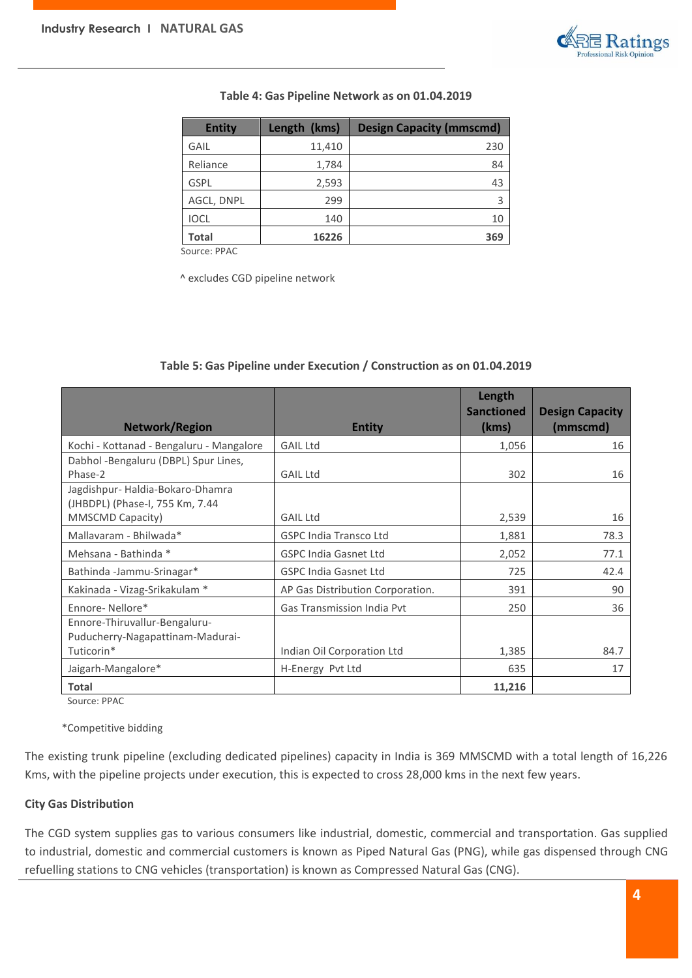

#### **Table 4: Gas Pipeline Network as on 01.04.2019**

| <b>Entity</b> | Length (kms) | <b>Design Capacity (mmscmd)</b> |
|---------------|--------------|---------------------------------|
| GAIL          | 11,410       | 230                             |
| Reliance      | 1,784        | 84                              |
| <b>GSPL</b>   | 2,593        | 43                              |
| AGCL, DNPL    | 299          |                                 |
| <b>IOCL</b>   | 140          | 10                              |
| <b>Total</b>  | 16226        | 369                             |

Source: PPAC

^ excludes CGD pipeline network

# **Network/Region Entity Length Sanctioned (kms) Design Capacity (mmscmd)** Kochi - Kottanad - Bengaluru - Mangalore | GAIL Ltd 1,056 | 1,056 | 16 Dabhol -Bengaluru (DBPL) Spur Lines, Phase-2 and 302 is the set of GAIL Ltd 302 is the set of GAIL Ltd 302 is the set of  $\sim$  302 is the set of  $\sim$  302 is the set of  $\sim$  302 is the set of  $\sim$  302 is the set of  $\sim$  302 is the set of  $\sim$  302 is the set of Jagdishpur- Haldia-Bokaro-Dhamra (JHBDPL) (Phase-I, 755 Km, 7.44 MMSCMD Capacity) **GAIL Ltd** GAIL Ltd 2,539 16 16 Mallavaram - Bhilwada\* (GSPC India Transco Ltd 1,881 / 1,881 / 78.3 Mehsana - Bathinda \* T.1 GSPC India Gasnet Ltd 2,052 2,052 Bathinda -Jammu-Srinagar\* (GSPC India Gasnet Ltd 725 / 725 42.4 Kakinada - Vizag-Srikakulam \* AP Gas Distribution Corporation. 1 391 391 Ennore- Nellore\* Superintent Cas Transmission India Pvt 250 250 36 Ennore-Thiruvallur-Bengaluru-Puducherry-Nagapattinam-Madurai-Tuticorin\* Indian Oil Corporation Ltd 1,385 84.7 Jaigarh-Mangalore\* 17 | H-Energy Pvt Ltd 635 | 635 | 17 **Total 11,216**

#### **Table 5: Gas Pipeline under Execution / Construction as on 01.04.2019**

Source: PPAC

\*Competitive bidding

The existing trunk pipeline (excluding dedicated pipelines) capacity in India is 369 MMSCMD with a total length of 16,226 Kms, with the pipeline projects under execution, this is expected to cross 28,000 kms in the next few years.

#### **City Gas Distribution**

The CGD system supplies gas to various consumers like industrial, domestic, commercial and transportation. Gas supplied to industrial, domestic and commercial customers is known as Piped Natural Gas (PNG), while gas dispensed through CNG refuelling stations to CNG vehicles (transportation) is known as Compressed Natural Gas (CNG).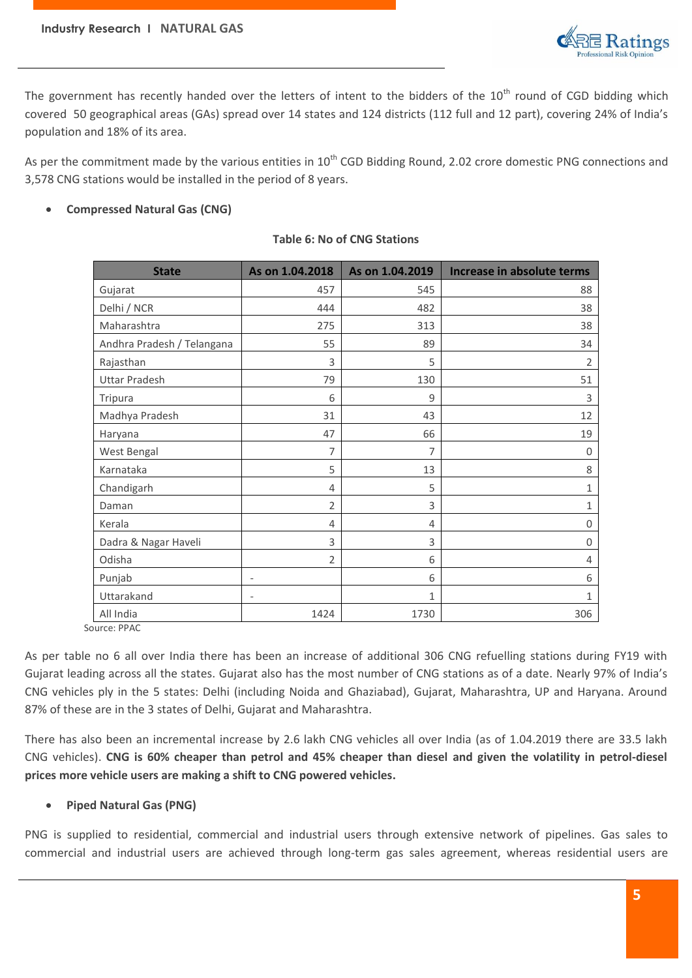

The government has recently handed over the letters of intent to the bidders of the 10<sup>th</sup> round of CGD bidding which covered 50 geographical areas (GAs) spread over 14 states and 124 districts (112 full and 12 part), covering 24% of India's population and 18% of its area.

As per the commitment made by the various entities in  $10^{th}$  CGD Bidding Round, 2.02 crore domestic PNG connections and 3,578 CNG stations would be installed in the period of 8 years.

# **Compressed Natural Gas (CNG)**

| <b>State</b>               | As on 1.04.2018          | As on 1.04.2019 | Increase in absolute terms |
|----------------------------|--------------------------|-----------------|----------------------------|
| Gujarat                    | 457                      | 545             | 88                         |
| Delhi / NCR                | 444                      | 482             | 38                         |
| Maharashtra                | 275                      | 313             | 38                         |
| Andhra Pradesh / Telangana | 55                       | 89              | 34                         |
| Rajasthan                  | 3                        | 5               | $\overline{2}$             |
| <b>Uttar Pradesh</b>       | 79                       | 130             | 51                         |
| Tripura                    | 6                        | 9               | 3                          |
| Madhya Pradesh             | 31                       | 43              | 12                         |
| Haryana                    | 47                       | 66              | 19                         |
| West Bengal                | 7                        | 7               | $\mathbf 0$                |
| Karnataka                  | 5                        | 13              | 8                          |
| Chandigarh                 | 4                        | 5               | 1                          |
| Daman                      | $\overline{2}$           | 3               | 1                          |
| Kerala                     | 4                        | 4               | 0                          |
| Dadra & Nagar Haveli       | 3                        | 3               | $\Omega$                   |
| Odisha                     | $\overline{2}$           | 6               | 4                          |
| Punjab                     | $\qquad \qquad -$        | 6               | 6                          |
| Uttarakand                 | $\overline{\phantom{a}}$ | 1               | $\mathbf{1}$               |
| All India                  | 1424                     | 1730            | 306                        |

# **Table 6: No of CNG Stations**

Source: PPAC

As per table no 6 all over India there has been an increase of additional 306 CNG refuelling stations during FY19 with Gujarat leading across all the states. Gujarat also has the most number of CNG stations as of a date. Nearly 97% of India's CNG vehicles ply in the 5 states: Delhi (including Noida and Ghaziabad), Gujarat, Maharashtra, UP and Haryana. Around 87% of these are in the 3 states of Delhi, Gujarat and Maharashtra.

There has also been an incremental increase by 2.6 lakh CNG vehicles all over India (as of 1.04.2019 there are 33.5 lakh CNG vehicles). **CNG is 60% cheaper than petrol and 45% cheaper than diesel and given the volatility in petrol-diesel prices more vehicle users are making a shift to CNG powered vehicles.**

# **Piped Natural Gas (PNG)**

PNG is supplied to residential, commercial and industrial users through extensive network of pipelines. Gas sales to commercial and industrial users are achieved through long-term gas sales agreement, whereas residential users are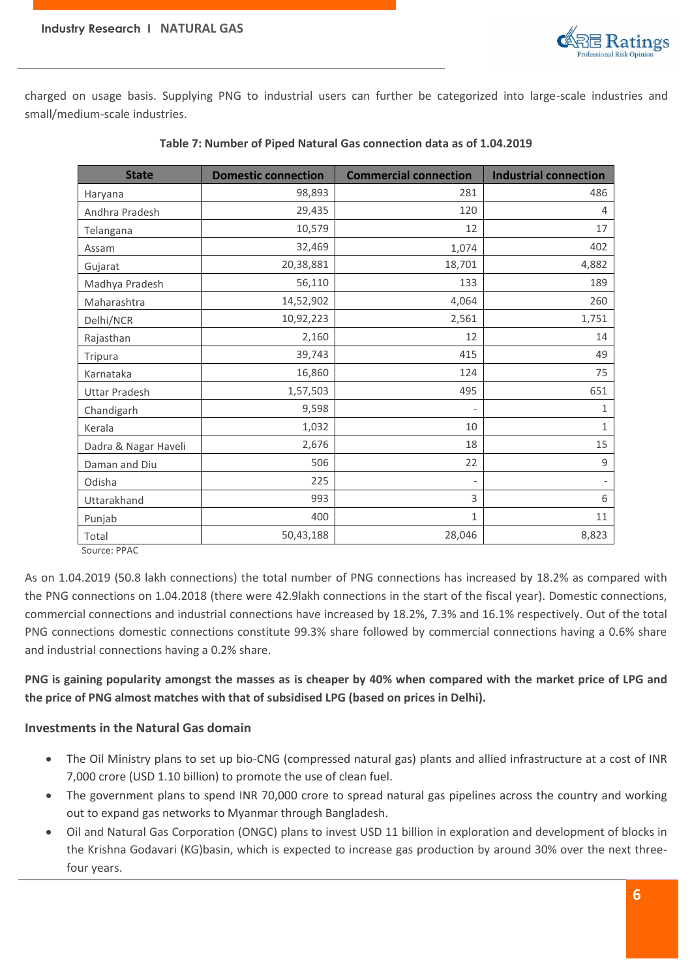

charged on usage basis. Supplying PNG to industrial users can further be categorized into large-scale industries and small/medium-scale industries.

| <b>State</b>                       | <b>Domestic connection</b> | <b>Commercial connection</b> | <b>Industrial connection</b> |
|------------------------------------|----------------------------|------------------------------|------------------------------|
| Haryana                            | 98,893                     | 281                          | 486                          |
| Andhra Pradesh                     | 29,435                     | 120                          | 4                            |
| Telangana                          | 10,579                     | 12                           | 17                           |
| Assam                              | 32,469                     | 1,074                        | 402                          |
| Gujarat                            | 20,38,881                  | 18,701                       | 4,882                        |
| Madhya Pradesh                     | 56,110                     | 133                          | 189                          |
| Maharashtra                        | 14,52,902                  | 4,064                        | 260                          |
| Delhi/NCR                          | 10,92,223                  | 2,561                        | 1,751                        |
| Rajasthan                          | 2,160                      | 12                           | 14                           |
| Tripura                            | 39,743                     | 415                          | 49                           |
| Karnataka                          | 16,860                     | 124                          | 75                           |
| <b>Uttar Pradesh</b>               | 1,57,503                   | 495                          | 651                          |
| Chandigarh                         | 9,598                      |                              | 1                            |
| Kerala                             | 1,032                      | 10                           | 1                            |
| Dadra & Nagar Haveli               | 2,676                      | 18                           | 15                           |
| Daman and Diu                      | 506                        | 22                           | 9                            |
| Odisha                             | 225                        |                              |                              |
| Uttarakhand                        | 993                        | 3                            | 6                            |
| Punjab                             | 400                        | 1                            | 11                           |
| Total<br>$C_{\text{max}}$ , $DDAC$ | 50,43,188                  | 28,046                       | 8,823                        |

#### **Table 7: Number of Piped Natural Gas connection data as of 1.04.2019**

Source: PPAC

As on 1.04.2019 (50.8 lakh connections) the total number of PNG connections has increased by 18.2% as compared with the PNG connections on 1.04.2018 (there were 42.9lakh connections in the start of the fiscal year). Domestic connections, commercial connections and industrial connections have increased by 18.2%, 7.3% and 16.1% respectively. Out of the total PNG connections domestic connections constitute 99.3% share followed by commercial connections having a 0.6% share and industrial connections having a 0.2% share.

**PNG is gaining popularity amongst the masses as is cheaper by 40% when compared with the market price of LPG and the price of PNG almost matches with that of subsidised LPG (based on prices in Delhi).**

# **Investments in the Natural Gas domain**

- The Oil Ministry plans to set up bio-CNG (compressed natural gas) plants and allied infrastructure at a cost of INR 7,000 crore (USD 1.10 billion) to promote the use of clean fuel.
- The government plans to spend INR 70,000 crore to spread natural gas pipelines across the country and working out to expand gas networks to Myanmar through Bangladesh.
- Oil and Natural Gas Corporation (ONGC) plans to invest USD 11 billion in exploration and development of blocks in the Krishna Godavari (KG)basin, which is expected to increase gas production by around 30% over the next threefour years.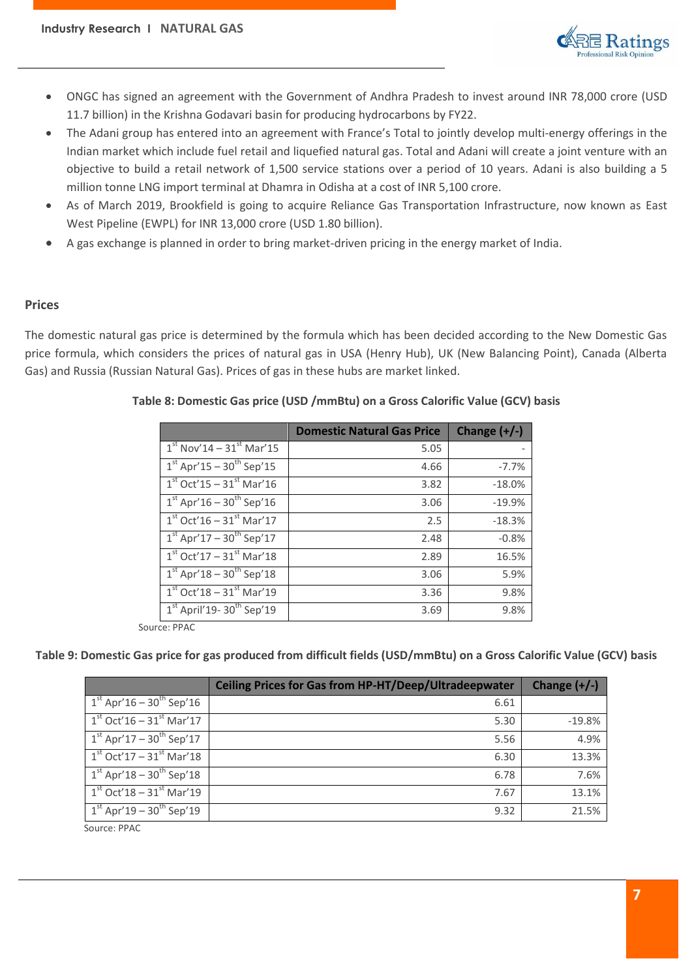

- ONGC has signed an agreement with the Government of Andhra Pradesh to invest around INR 78,000 crore (USD 11.7 billion) in the Krishna Godavari basin for producing hydrocarbons by FY22.
- The Adani group has entered into an agreement with France's Total to jointly develop multi-energy offerings in the Indian market which include fuel retail and liquefied natural gas. Total and Adani will create a joint venture with an objective to build a retail network of 1,500 service stations over a period of 10 years. Adani is also building a 5 million tonne LNG import terminal at Dhamra in Odisha at a cost of INR 5,100 crore.
- As of March 2019, Brookfield is going to acquire Reliance Gas Transportation Infrastructure, now known as East West Pipeline (EWPL) for INR 13,000 crore (USD 1.80 billion).
- A gas exchange is planned in order to bring market-driven pricing in the energy market of India.

# **Prices**

The domestic natural gas price is determined by the formula which has been decided according to the New Domestic Gas price formula, which considers the prices of natural gas in USA (Henry Hub), UK (New Balancing Point), Canada (Alberta Gas) and Russia (Russian Natural Gas). Prices of gas in these hubs are market linked.

|                                         | <b>Domestic Natural Gas Price</b> | Change $(+/-)$ |
|-----------------------------------------|-----------------------------------|----------------|
| $1^{st}$ Nov'14 – 31st Mar'15           | 5.05                              |                |
| $1st$ Apr'15 – 30 <sup>th</sup> Sep'15  | 4.66                              | $-7.7%$        |
| $1st$ Oct'15 – $31st$ Mar'16            | 3.82                              | $-18.0%$       |
| $1^{st}$ Apr'16 - $30^{th}$ Sep'16      | 3.06                              | $-19.9%$       |
| $1st$ Oct'16 – $31st$ Mar'17            | 2.5                               | $-18.3%$       |
| $1st$ Apr'17 – 30 <sup>th</sup> Sep'17  | 2.48                              | $-0.8%$        |
| $1st$ Oct'17 – 31 $st$ Mar'18           | 2.89                              | 16.5%          |
| $1st$ Apr'18 – 30 <sup>th</sup> Sep'18  | 3.06                              | 5.9%           |
| $1st$ Oct'18 – 31 $st$ Mar'19           | 3.36                              | 9.8%           |
| $1st$ April'19- 30 <sup>th</sup> Sep'19 | 3.69                              | 9.8%           |

# **Table 8: Domestic Gas price (USD /mmBtu) on a Gross Calorific Value (GCV) basis**

Source: PPAC

# **Table 9: Domestic Gas price for gas produced from difficult fields (USD/mmBtu) on a Gross Calorific Value (GCV) basis**

|                                           | <b>Ceiling Prices for Gas from HP-HT/Deep/Ultradeepwater</b> | Change $(+/-)$ |
|-------------------------------------------|--------------------------------------------------------------|----------------|
| $1^{st}$ Apr'16 – 30 <sup>th</sup> Sep'16 | 6.61                                                         |                |
| $1st$ Oct'16 – 31 <sup>st</sup> Mar'17    | 5.30                                                         | $-19.8%$       |
| $1st$ Apr'17 – 30 <sup>th</sup> Sep'17    | 5.56                                                         | 4.9%           |
| $1st$ Oct'17 – 31 <sup>st</sup> Mar'18    | 6.30                                                         | 13.3%          |
| $1^{st}$ Apr'18 – $30^{th}$ Sep'18        | 6.78                                                         | 7.6%           |
| $1st$ Oct'18 – 31 <sup>st</sup> Mar'19    | 7.67                                                         | 13.1%          |
| $1^{st}$ Apr'19 – 30 <sup>th</sup> Sep'19 | 9.32                                                         | 21.5%          |
| Source: PPAC                              |                                                              |                |